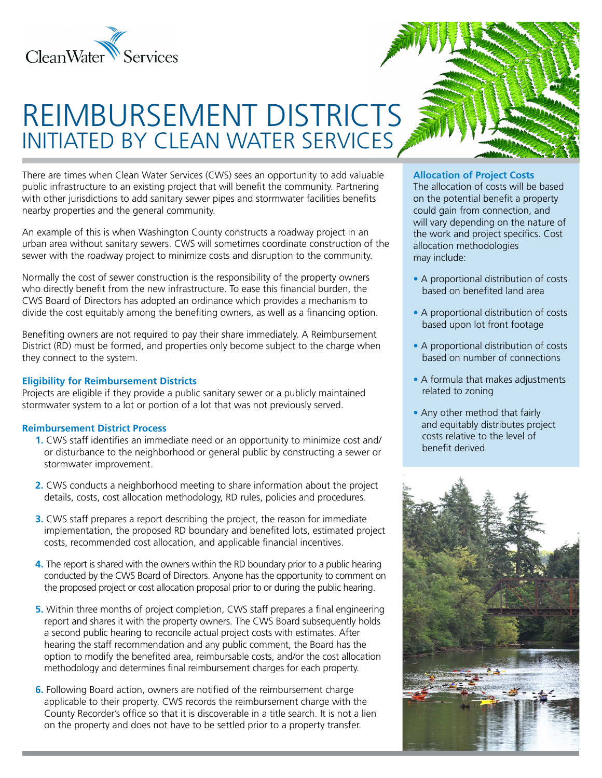

# REIMBURSEMENT DISTRICTS INITIATED BY CLEAN WATER SERVICES

There are times when Clean Water Services (CWS) sees an opportunity to add valuable public infrastructure to an existing project that will benefit the community. Partnering with other jurisdictions to add sanitary sewer pipes and stormwater facilities benefits nearby properties and the general community.

An example of this is when Washington County constructs a roadway project in an urban area without sanitary sewers. CWS will sometimes coordinate construction of the sewer with the roadway project to minimize costs and disruption to the community.

Normally the cost of sewer construction is the responsibility of the property owners who directly benefit from the new infrastructure. To ease this financial burden, the CWS Board of Directors has adopted an ordinance which provides a mechanism to divide the cost equitably among the benefiting owners, as well as a financing option.

Benefiting owners are not required to pay their share immediately. A Reimbursement District (RD) must be formed, and properties only become subject to the charge when they connect to the system.

### **Eligibility for Reimbursement Districts**

Projects are eligible if they provide a public sanitary sewer or a publicly maintained stormwater system to a lot or portion of a lot that was not previously served.

## **Reimbursement District Process**

- **1.** CWS staff identifies an immediate need or an opportunity to minimize cost and/ or disturbance to the neighborhood or general public by constructing a sewer or stormwater improvement.
- **2.** CWS conducts a neighborhood meeting to share information about the project details, costs, cost allocation methodology, RD rules, policies and procedures.
- **3.** CWS staff prepares a report describing the project, the reason for immediate implementation, the proposed RD boundary and benefited lots, estimated project costs, recommended cost allocation, and applicable financial incentives.
- **4.** The report is shared with the owners within the RD boundary prior to a public hearing conducted by the CWS Board of Directors. Anyone has the opportunity to comment on the proposed project or cost allocation proposal prior to or during the public hearing.
- **5.** Within three months of project completion, CWS staff prepares a final engineering report and shares it with the property owners. The CWS Board subsequently holds a second public hearing to reconcile actual project costs with estimates. After hearing the staff recommendation and any public comment, the Board has the option to modify the benefited area, reimbursable costs, and/or the cost allocation methodology and determines final reimbursement charges for each property.
- **6.** Following Board action, owners are notified of the reimbursement charge applicable to their property. CWS records the reimbursement charge with the County Recorder's office so that it is discoverable in a title search. It is not a lien on the property and does not have to be settled prior to a property transfer.

### **Allocation of Project Costs**

The allocation of costs will be based on the potential benefit a property could gain from connection, and will vary depending on the nature of the work and project specifics. Cost allocation methodologies may include:

- **•** A proportional distribution of costs based on benefited land area
- **•** A proportional distribution of costs based upon lot front footage
- **•** A proportional distribution of costs based on number of connections
- **•** A formula that makes adjustments related to zoning
- **•** Any other method that fairly and equitably distributes project costs relative to the level of benefit derived